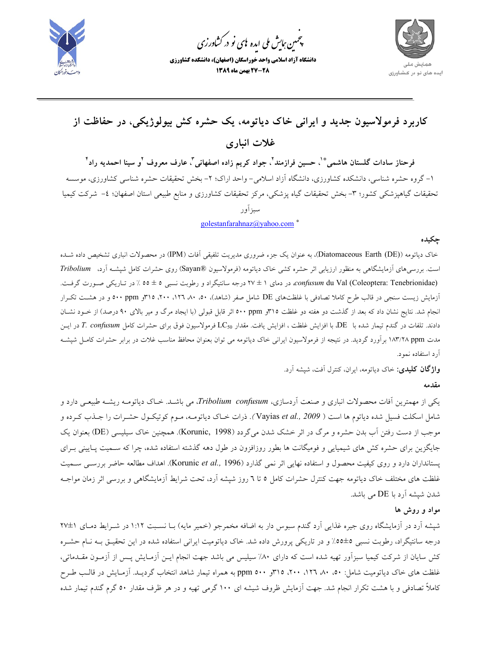

.<br>چمین *جایش ملی* ایده <sup>ب</sup>ای نو در کشاورزی ൕह

**دانشگاه آزاد اسلامي واحد خوراسگان (اصفهان)، دانشكده كشاورزي -28 27 بهمن ماه 1389** 



**كاربرد فرمولاسيون جديد و ايراني خاك دياتومه، يك حشره كش بيولوژيكي، در حفاظت از غلات انباري** 

فرحناز سادات گلستان هاشمیٌّ ْ، حسین فرازمند<sup>۲</sup>، جواد کریم زاده اصفهانی ؓ، عارف معروف <sup>۲</sup>و سینا احمدیه راد ٌ -1 گروه حشره شناسي، دانشكده كشاورزي، دانشگاه آزاد اسلامي- واحد اراك؛ -2 بخش تحقيقات حشره شناسي كشاورزي، موسسه تحقيقات گياهپزشكي كشور؛ ٣- بخش تحقيقات گياه پزشكي، مركز تحقيقات كشاورزي و منابع طبيعي استان اصفهان؛ ٤- شركت كيميا سبزآور

 $golestanfarahnaz@yahoo.com$ <sup>\*</sup>

#### **چكيده**

خاك دياتومه ((Diatomaceous Earth (DE)، به عنوان يك جزء ضروري مديريت تلفيقي آفات (IPM) در محصولات انباري تشخيص داده شـده است. بررسيهاي آزمايشگاهي به منظور ارزيابي اثر حشره كشي خاك دياتومه (فرمولاسيون RSayan (روي حشرات كامل شپشـه آرد، *Tribolium* (Tenebrionidae :Coleoptera (Val du *confusum*، در دماي 1 ± 27 درجه سانتيگراد و رطوبت نسبي 5 ± 55 % در تـاريكي صـورت گرفـت. آزمايش زيست سنجي در قالب طرح كاملا تصادفي با غلظتهاي DE شامل صفر (شاهد)، ،50 ،80 ،126 ،200 315و ppm 500 و در هشـت تكـرار انجام شد. نتايج نشان داد كه بعد از گذشت دو هفته دو غلظت 315و ppm 500 اثر قابل قبولي (با ايجاد مرگ و مير بالاي 90 درصد) از خـود نشـان دادند. تلفات در گندم تيمار شده با DE، با افزايش غلظت ، افزايش يافت. مقدار 50LC فرمولاسيون فوق براي حشرات كامل *confusum .T* در ايـن مدت ppm 183/28 برآورد گرديد. در نتيجه از فرمولاسيون ايراني خاك دياتومه مي توان بعنوان محافظ مناسب غلات در برابر حشرات كامـل شپشـه آرد استفاده نمود.

**واژگان كليدي:** خاك دياتومه، ايران، كنترل آفت، شپشه آرد.

# **مقدمه**

يكي از مهمترين آفات محصولات انباري و صنعت آردسازي، *confusum Tribolium*، مي باشـد. خـاك دياتومـه ريشـه طبيعـي دارد و شامل اسكلت فسيل شده دياتوم ها است ( *2009 .,al et* Vayias( . ذرات خـاك دياتومـه، مـوم كوتيكـول حشـرات را جـذب كـرده و موجب از دست رفتن آب بدن حشره و مرگ در اثر خشك شدن ميگردد (1998 ,Korunic(. همچنين خاك سيليسي (DE (بعنوان يك جايگزين براي حشره كش هاي شيميايي و فوميگانت ها بطور روزافزون در طول دهه گذشته استفاده شده، چرا كه سـميت پـاييني بـراي پستانداران دارد و روي كيفيت محصول و استفاده نهايي اثر نمي گذارد (1996 *.,al et* Korunic(. اهداف مطالعه حاضر بررسـي سـميت غلظت هاي مختلف خاك دياتومه جهت كنترل حشرات كامل 5 تا 6 روز شپشه آرد، تحت شرايط آزمايشگاهي و بررسي اثر زمان مواجـه شدن شپشه آرد با DE مي باشد.

## **مواد و روش ها**

شپشه آرد در آزمايشگاه روي جيره غذايي آرد گندم سبوس دار به اضافه مخمرجو (خمير مايه) بـا نسـبت 1:12 در شـرايط دمـاي 27±1 درجه سانتيگراد، رطوبت نسبي %55±5 و در تاريكي پرورش داده شد. خاك دياتوميت ايراني استفاده شده در اين تحقيـق بـه نـام حشـره كش سايان از شركت كيميا سبزآور تهيه شده است كه داراي ٨٠٪ سيليس مي باشد جهت انجام ايـن آزمـايش پـس از آزمـون مقـدماتي، غلظت هاي خاك دياتوميت شامل: ،50 ،80 ،126 ،200 315و 500 ppm به همراه تيمار شاهد انتخاب گرديـد. آزمـايش در قالـب طـرح كاملاً تصادفي و با هشت تكرار انجام شد. جهت آزمايش ظروف شيشه اي 100 گرمي تهيه و در هر ظرف مقدار 50 گرم گندم تيمار شده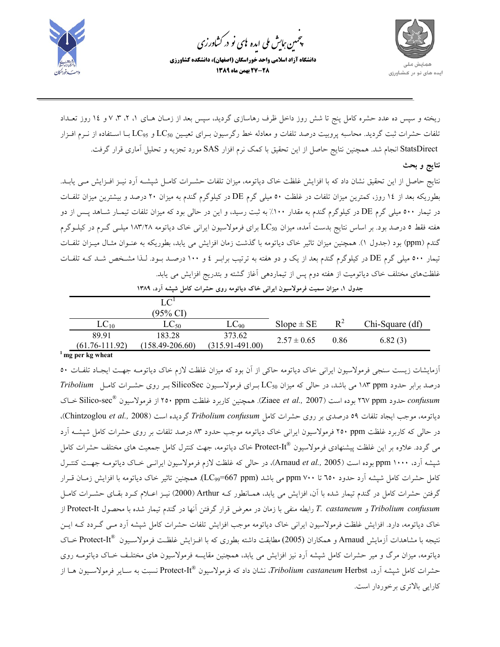

.<br>چمین *جایش ملی* ایده <sup>ب</sup>ای نو در کشاورزی ൕह

**دانشگاه آزاد اسلامي واحد خوراسگان (اصفهان)، دانشكده كشاورزي -28 27 بهمن ماه 1389** 



ريخته و سپس ده عدد حشره كامل پنج تا شش روز داخل ظرف رهاسازي گرديد، سپس بعد از زمـان هـاي ،1 ،2 ،3 7 و 14 روز تعـداد تلفات حشرات ثبت گرديد. محاسبه پروبيت درصد تلفات و معادله خط رگرسيون بـراي تعيـين 50LC و 95LC بـا اسـتفاده از نـرم افـزار StatsDirect انجام شد. همچنين نتايج حاصل از اين تحقيق با كمك نرم افزار SAS مورد تجزيه و تحليل آماري قرار گرفت. **نتايج و بحث**

نتايج حاصل از اين تحقيق نشان داد كه با افزايش غلظت خاك دياتومه، ميزان تلفات حشـرات كامـل شپشـه آرد نيـز افـزايش مـي يابـد. بطوريكه بعد از 14 روز، كمترين ميزان تلفات در غلظت 50 ميلي گرم DE در كيلوگرم گندم به ميزان 20 درصد و بيشترين ميزان تلفـات در تيمار 500 ميلي گرم DE در كيلوگرم گندم به مقدار %100 به ثبت رسيد، و اين در حالي بود كه ميزان تلفات تيمـار شـاهد پـس از دو هفته فقط 5 درصد بود. بر اساس نتايج بدست آمده، ميزان 50LC براي فرمولاسيون ايراني خاك دياتومه 183/28 ميلـي گـرم در كيلـوگرم گندم (ppm (بود (جدول 1). همچنين ميزان تاثير خاك دياتومه با گذشت زمان افزايش مي يابد، بطوريكه به عنـوان مثـال ميـزان تلفـات تيمار 500 ميلي گرم DE در كيلوگرم گندم بعد از يك و دو هفته به ترتيب برابـر 4 و 100 درصـد بـود. لـذا مشـخص شـد كـه تلفـات غلظتهاي مختلف خاك دياتوميت از هفته دوم پس از تيماردهي آغاز گشته و بتدريج افزايش مي يابد.

| جدول ۱، میزان سمیت فرمولاسیون ایرانی خاک دیاتومه روی حشرات کامل شپشه آرد، ۱۳۸۹ |                     |                 |                 |       |                 |
|--------------------------------------------------------------------------------|---------------------|-----------------|-----------------|-------|-----------------|
|                                                                                | LC <sup>1</sup>     |                 |                 |       |                 |
|                                                                                | (95% CI)            |                 |                 |       |                 |
| $LC_{10}$                                                                      | $LC_{50}$           | $LC_{90}$       | $Slope \pm SE$  | $R^2$ | Chi-Square (df) |
| 89 91                                                                          | 183.28              | 373.62          | $2.57 \pm 0.65$ | 0.86  | 6.82(3)         |
| $(61.76 - 111.92)$                                                             | $(158.49 - 206.60)$ | (315.91-491.00) |                 |       |                 |

**1 mg per kg wheat**

آزمايشات زيست سنجي فرمولاسيون ايراني خاك دياتومه حاكي از آن بود كه ميزان غلظت لازم خاك دياتومـه جهـت ايجـاد تلفـات 50 درصد برابر حدود ppm 183 مي باشد، در حالي كه ميزان 50LC بـراي فرمولاسـيون SilicoSec بـر روي حشـرات كامـل *Tribolium* خـاك <sup>R</sup> *confusum* حدود ppm 267 بوده است (2007 *.,al et* Ziaee(. همچنين كاربرد غلظت ppm 250 از فرمولاسيون sec-Silico دياتومه، موجب ايجاد تلفات 59 درصدي بر روي حشرات كامل *confusum Tribolium* گرديده است (2008 *.,al et* Chintzoglou(، در حالي كه كاربرد غلظت ppm 250 فرمولاسيون ايراني خاك دياتومه موجب حدود 83 درصد تلفات بر روي حشرات كامل شپشـه آرد می گردد. علاوه بر این غلظت پیشنهادی فرمولاسیون ®Protect-It خاک دیاتومه، جهت کنترل کامل جمعیت های مختلف حشرات کامل شپشه آرد، 1000 ppm بوده است (2005 *.,al et* Arnaud(، در حالي كه غلظت لازم فرمولاسيون ايرانـي خـاك دياتومـه جهـت كنتـرل كامل حشرات كامل شپشه آرد حدود 650 تا 700 ppm مي باشد (ppm 667=99LC(. همچنين تاثير خاك دياتومه با افزايش زمـان قـرار گرفتن حشرات كامل در گندم تيمار شده با آن، افزايش مي يابد، همـانطور كـه Arthur) 2000 (نيـز اعـلام كـرد بقـاي حشـرات كامـل *confusum Tribolium* و *castaneum .T* رابطه منفي با زمان در معرض قرار گرفتن آنها در گندم تيمار شده با محصول It-Protect از خاك دياتومه، دارد. افزايش غلظت فرمولاسيون ايراني خاك دياتومه موجب افزايش تلفات حشرات كامل شپشه آرد مـي گـردد كـه ايـن نتيجه با مشاهدات آزمايش Arnaud و همكاران (2005) مطابقت داشته بطوري كه با افـزايش غلظـت فرمولاسـيون ®Protect-It خـاك دياتومه، ميزان مرگ و مير حشرات كامل شپشه آرد نيز افزايش مي يابد، همچنين مقايسه فرمولاسيون هاي مختلـف خـاك دياتومـه روي حشرات كامل شپشه آرد، *Tribolium castaneum* Herbst، نشان داد كه فرمولاسيون ®Protect-It نسبت به سـاير فرمولاسـيون هـا از كارايي بالاتري برخوردار است.